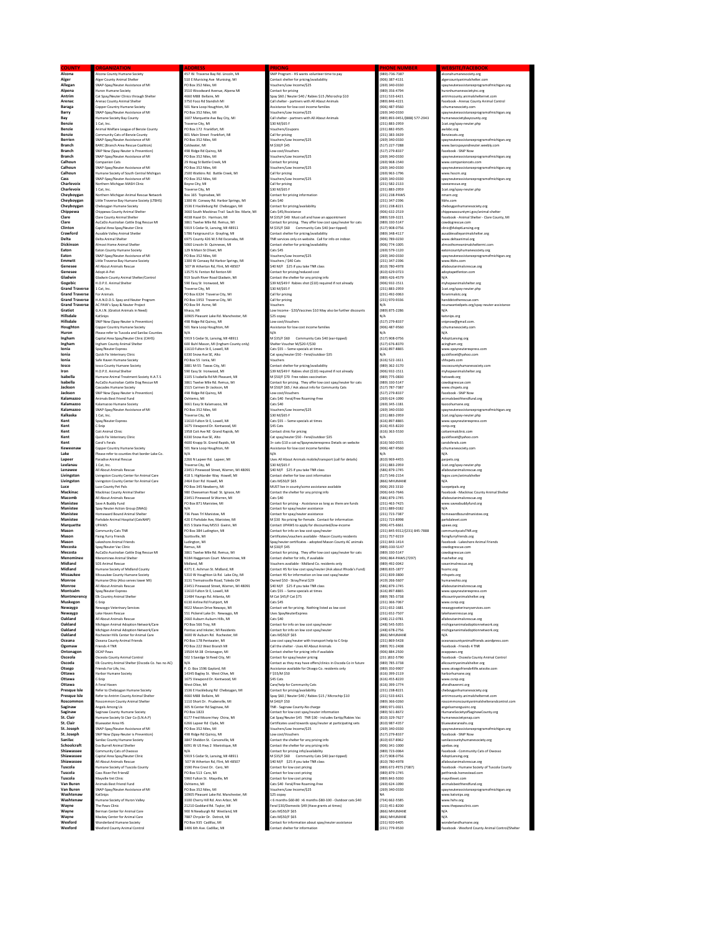| Alcona<br>Alger                                | Alcona County Humane Society                                                          | 157 W. Traverse Bay Rd. Lincoln, MI                                                | SNIP Program - HS wants volunteer time to pay                                                                      | (989)-736-7387                                 | alconahumanesociety.org                                                            |
|------------------------------------------------|---------------------------------------------------------------------------------------|------------------------------------------------------------------------------------|--------------------------------------------------------------------------------------------------------------------|------------------------------------------------|------------------------------------------------------------------------------------|
|                                                | <b>Alger County Animal Shelter</b>                                                    | 10 E Munising Ave Munising, MI                                                     | ontact shelter for pricing/availability                                                                            | (906) 387-4131                                 | algercountyanimalshelter.com                                                       |
| Allegan<br>Alpena                              | NAP-Spay/Neuter Assistance of MI                                                      | O Box 352 Niles, MI                                                                | /ouchers/Low Income/\$25                                                                                           | (269) 340-0330<br>(989) 356-4794               | payneuterassistanceprogramofmichigan.org                                           |
| Antrim                                         | Juron Humane Society<br>Cat Spay/Neuter Clinics through Shelter                       | 3510 Woodward Avenue, Alpena MI<br>1660 M88 Bellaire, MI                           | Contact for pricing<br>Spay \$60 / Neuter \$40 / Rabies \$15 /Microchip \$10                                       | (231) 533-6421                                 | turonhumanesocietyinc.org<br>intrimcounty.animalshelternet.com                     |
| Arenac                                         | <b>Arenac County Animal Shelter</b>                                                   | 3750 Foco Rd Standish MI                                                           | Call shelter - partners with All About Animals                                                                     | (989) 846-4221                                 | Facebook - Arenac County Animal Control                                            |
| Baraga<br>Barry                                | Copper Country Humane Society<br>SNAP-Spay/Neuter Assistance of MI                    | 501 Nara Loop Houghton, MI<br>O Box 352 Niles, MI                                  | Assistance for low cost income families<br>Vouchers/Low Income/\$25                                                | (906) 487-9560<br>0891340-0330                 | cchumanesociety.com<br>soavneuterassistanceprogramofmichigan.org                   |
| Bay                                            | Iumane Society Bay County                                                             | 607 Marquette Ave Bay City, MI                                                     | Call shelter - partners with All About Animals                                                                     | (989) 893-0451/(888) 577-2943                  | umanesocietybaycounty.org                                                          |
| Benzie                                         | Cat, Inc.                                                                             | raverse City, MI                                                                   | \$30 M/\$65 F                                                                                                      | (231) 883-2959                                 | 1cat.org/spay-neuter.php                                                           |
| Benzie<br>Benzie                               | nimal Welfare League of Benzie County<br>Community Cats of Benzie County              | O Box 172 Frankfort, MI<br>301 Main Street Frankfort, MI                           | ouchers/Coupons<br>Call for pricing                                                                                | 231) 882-9505<br>(231) 383-3639                | vlobc.org<br>Benziecats.org                                                        |
| Berrien                                        | NAP-Spay/Neuter Assistance of MI                                                      | O Box 352 Niles, MI                                                                | Vouchers/Low Income/\$25                                                                                           | (269) 340-0330                                 | spayneuterassistanceprogramofmichigan.org                                          |
| <b>Branch</b>                                  | <b>BARC</b> (Branch Area Rescue Coalition)                                            | Coldwater, MI                                                                      | M \$30/F \$45                                                                                                      | (517) 227-7288                                 | www.barcspayandneuter.weebly.com                                                   |
| <b>Branch</b><br>Branch                        | SNiP Now (Spay-Neuter is Prevention)<br>SNAP-Spay/Neuter Assistance of MI             | 198 Ridge Rd Quincy, MI<br>O Box 352 Niles, MI                                     | ow cost Nouchers<br>Vouchers/Low Income/\$25                                                                       | (517) 279-8337<br>(269) 340-0330               | Facebook - SNiP Now<br>payneuterassistanceprogramofmichigan.org                    |
| Calhoun                                        | Companion Cats                                                                        | 29 Hoag St Battle Creek, MI                                                        | Contact for pricing                                                                                                | (269) 968-1540                                 | ww.companioncats.com                                                               |
| Calhoun                                        | .<br>SNAP-Spay/Neuter Assistance of MI                                                | O Box 352 Niles, MI                                                                | /ouchers/Low Income/\$25                                                                                           | (269) 340-0330<br>(269) 963-1796               | spayneuterassistanceprogramofmichigan.org                                          |
| Calhoun<br>Cass                                | lumane Society of South Central Michigan<br>NAP-Spay/Neuter Assistance of MI          | 2500 Watkins Rd. Battle Creek, MI<br>O Box 352 Niles, MI                           | Call for pricing<br>/ouchers/Low Income/\$25                                                                       | 269) 340-0330                                  | ww.hsscm.org<br>spayneuterassistanceprogramofmichigan.org                          |
| Charlevoix                                     | <b>Northern Michigan MASH Clinic</b>                                                  | loyne City, MI                                                                     | Call for pricing                                                                                                   | (231) 582-2133                                 | avearescue.org                                                                     |
| Charlevoix<br>Chevbovgan                       | L Cat. Inc.                                                                           | Fraverse City, MI                                                                  | \$30 M/\$65 F<br>Contact for nricing information                                                                   | (231) 883-2959<br>(231) 238-PAWS               | 1cat.org/spay-neuter.php                                                           |
| Chevbovgan                                     | Vorthern Michigan Animal Rescue Network<br>Little Traverse Bay Humane Society (LTBHS) | Box 165 Topinabee, MI<br>1300 W. Conway Rd. Harbor Springs, MI                     | Cats \$40                                                                                                          | (231) 347-2396                                 | nmarn.org<br>tbhs.com                                                              |
| Chevbovgan                                     | <b>Cheboyean Humane Society</b>                                                       | 1536 E Hackleburg Rd Cheboygan, MI                                                 | Contact for pricing/availability                                                                                   | 12211 229.9221                                 | chebovganhumanesociety.org                                                         |
| Chippewa<br>Clare                              | Chippewa County Animal Shelter<br>are County Animal Shelter                           | 660 South Mackinac Trail Sault Ste. Marie. MI<br>038 Hazel Dr. Harrison, MI        | Cats S45/Assistance<br>M \$35/F \$40 Must call and have an appointment                                             | (906) 632-2519<br>989) 539-3221                | chippewacountymi.gov/animal-shelter<br>acebook - Animal Shelter - Clare County, MI |
| Clare                                          | uCaDo Australian Cattle Dog Rescue MI                                                 | 861 Twelve Mile Rd. Remus. MI                                                      | Contact for pricing. They offer low cost spay/neuter for cats                                                      | 989) 330-5147                                  | owdogrescue.com                                                                    |
| Clinton                                        | Capital Area Spay/Neuter Clinic                                                       | 5919 S Cedar St, Lansing, MI 48911                                                 | M \$35/F \$60 Community Cats \$40 (ear-tipped)                                                                     | (517) 908-0756                                 | dinic@AdoptLansing.org                                                             |
| Crawford<br>Delta                              | <b>Ausable Valley Animal Shetler</b><br>Delta Animal Shelter                          | 5786 Fairground Ln Grayling, MI<br>5975 County 426 M.5 Rd Escanaba, MI             | Contact shelter for pricing/availability<br>TNR services only on website. Call for info on indoor.                 | (989) 348-4117<br>(906) 789-0230               | ausablevalleyanimalshelter.org<br>www.deltaanimal.org                              |
| <b>Dickinson</b>                               | <b>Almost Home Animal Shelter</b>                                                     | 5060 Lincoln St Quinnesec. MI                                                      | Contact shelter for pricing/availability                                                                           | (906) 774-1005                                 | almosthomeanimalsheltermi.com                                                      |
| Faton                                          | aton County Humane Society                                                            | 129 N Main St Olivet MI                                                            | Cats SAS                                                                                                           | (269) 579-1120                                 | atoncountyhumanesociety.org                                                        |
| Eaton<br>Emmett                                | SNAP-Spay/Neuter Assistance of MI<br>ittle Traverse Bay Humane Society                | O Box 352 Niles, MI<br>300 W Conway Rd Harbor Springs, MI                          | /ouchers/Low Income/\$25<br>ouchers / \$40 Cats                                                                    | (269) 340-0330<br>231) 347-2396                | payneuterassistanceprogramofmichigan.org<br>ww.ltbhs.com                           |
| Genesee                                        | All About Animals Rescue                                                              | 507 W Atherton Rd, Flint, MI 48507                                                 | 40 M/F \$25 if you take TNR class                                                                                  | 810) 780-4978                                  | Ilaboutanimalsrescue.org                                                           |
| Genesee<br>Gladwin                             | Adopt-A-Pet<br>Sladwin County Animal Shelter/Control                                  | 13575 N. Fenton Rd Fenton MI                                                       | Contact for pricing/reduced cost                                                                                   | (810) 629-0723<br>(989) 426-4579               | adoptapetfenton.com<br>N/A                                                         |
| Gogebic                                        | I.O.P.E. Animal Shelter                                                               | 319 South River Road Gladwin, MI<br>590 Easy St Ironwood, MI                       | Contact the shelter for any pricing info<br>\$39 M/\$49 F Rabies shot (\$10) required if not already               | (906) 932-1511                                 | myhopeanimalshelter.org                                                            |
| <b>Grand Traverse</b>                          | L Cat. Inc.                                                                           | raverse City, MI                                                                   | \$30 M/\$65 F                                                                                                      | (231) 883-2959                                 | 1cat.org/spay-neuter.php                                                           |
| <b>Grand Traverse</b><br><b>Grand Traverse</b> | or Animale<br>A A N D D S. Spay and Neuter Program                                    | PO Box 6324 Traverse City MI<br>O Box 1953 Traverse City, MI                       | Call for pricing<br>Call for pricing                                                                               | Fann-SPA (15S)<br>(231) 970-9336               | .<br>Oranimalete om<br>handdstotherescue.com                                       |
| <b>Grand Traverse</b>                          | AC PAW's Spay & Neuter Project                                                        | n Box 94 Acme, MI                                                                  | /outhers                                                                                                           | N/A                                            | nounwantedpets.org/spay-neuter-assistance                                          |
| Gratiot                                        | <b>G.A.I.N.</b> (Gratiot Animals in Need)                                             | thaca, MI                                                                          | Low Income - \$20/Vaccines \$10 May also be further discounts                                                      | (989) 875-2286                                 | N/A                                                                                |
| Hillsdale<br>Hillsdale                         | CatSnips<br>SNiP Now (Spay-Neuter is Prevention)                                      | 10905 Pleasant Lake Rd. Manchester, MI<br>198 Ridge Rd Quincy, MI                  | \$25 copay<br>Low cost/Vouchers                                                                                    | N/A<br>(517) 279-8337                          | catsnips.org<br>snipnow@gmail.com.                                                 |
| Houghton                                       | Copper Country Humane Society                                                         | 501 Nara Loop Houghton, MI                                                         | Assistance for low cost income families                                                                            | (906) 487-9560                                 | cchumanesociety.com                                                                |
| Huron                                          | lease refer to Tuscola and Sanilac Counties                                           | N/A                                                                                | N/A                                                                                                                | N/A                                            | N/A                                                                                |
| Ingham<br>Ingham                               | Capital Area Spay/Neuter Clinic (CAHS)<br>ngham County Animal Shelter                 | 5919 S Cedar St. Lansing, MI 48911<br>.<br>500 Buhl Mason, MI (Ingham County only) | M \$35/F \$60 Community Cats \$40 (ear-tipped)<br>Shelter Voucher M/S20-F/S30                                      | (517) 908-0756<br>(517) 676-8370               | AdoptLansing.org<br>scingham.org                                                   |
| Ionia                                          | Spay/Neuter Express                                                                   | 11610 Fulton St F. Lowell, MI                                                      | Cats \$55 -- Some specials at times                                                                                | (616) 897-8865                                 | ww.spayneuterexpress.com                                                           |
| Ionia                                          | Quick Fix Veterinary Clinis                                                           | 330 Snow Ave SE, Alto                                                              | Cat spay/neuter \$50 - Feral/outdoor \$35                                                                          |                                                | auickfixvet@yahoo.com                                                              |
| Ionia<br>losco                                 | afe Haven Humane Society<br>osco County Humane Society                                | O Box 55 Ionia, MI<br>3881 M-55 Tawas City, MI                                     | ouchers<br>Contact shelter for pricing/availability                                                                | (616) 522-1611<br>(989) 362-3170               | hhspets.com<br>oscocountyhumanesociety.com                                         |
| Iron                                           | H.O.P.E. Animal Shelter                                                               | 590 Easy St Ironwood, MI                                                           | \$39 M/\$49 F Rabies shot (\$10) required if not already                                                           | (906) 932-1511                                 | myhopeanimalshelter.org                                                            |
| Isabella                                       | <b>Humane Animal Treatment Society H.A.T.S</b>                                        | 1105 S Isabella Rd Mt Pleasant, MI                                                 | M SSO/F \$70 Free rabies vaccination                                                                               | (989) 775-0830                                 | hatsweb.org                                                                        |
| Isabella<br>Jackson                            | <b>MicaDo Australian Cattle Dog Rescue MI</b><br><b>Cascades Humane Society</b>       | 3861 Twelve Mile Rd. Remus. MI<br>515 Carmen Dr Jackson, MI                        | Contact for pricing. They offer low cost spay/neuter for cats<br>M \$50/F \$65 / Ask about info for Community Cats | (989) 330-5147<br>(517) 787-7387               | cowdogrescue.com<br>www.chspets.org                                                |
| Jackson                                        | SNiP Now (Spay-Neuter is Prevention)                                                  | 198 Ridge Rd Quincy, MI                                                            | ow cost/Vouchers                                                                                                   | (517) 279-8337                                 | Facebook - SNiP Now                                                                |
| Kalamazoo                                      | Animals Best Friend Fund                                                              | Ishtemo, MI                                                                        | Cats \$40 Feral/Free Roaming-Free                                                                                  | (269) 624-1090<br>2691345-1181                 | nimalsbestfriendfund.org                                                           |
| Kalamazoo<br>Kalamazoo                         | Calamazoo Humane Society<br>SNAP-Spay/Neuter Assistance of MI                         | 661 Easy St Kalamazoo, MI<br>PO Box 352 Niles, MI                                  | Cats \$40<br>Vouchers/Low Income/\$25                                                                              | (269) 340-0330                                 | cazoohumane.org<br>payneuterassistanceprogramofmichigan.org                        |
| Kalkaska                                       | L Cat, Inc.                                                                           | raverse City, MI                                                                   | \$30 M/\$65 F                                                                                                      | 2311883-2959                                   | 1cat.org/spay-neuter.php                                                           |
| Kent<br>Kent                                   | Spay/Neuter Express<br>-Snip                                                          | 11610 Fulton St E. Lowell, MI<br>675 Viewpond Dr. Kentwood, MI                     | Cats \$55 -- Some specials at times<br>S45 Cats                                                                    | (616) 897-8865<br>(616) 455-8220               | www.spayneuterexpress.com<br>snip.org                                              |
| Kent                                           | Coit Animal Clinic                                                                    | 1958 Coit Ave NE Grand Rapids, MI                                                  | Contact clinic for pricing                                                                                         | (616) 363-5530                                 | pitanimalclinic com                                                                |
| Kent                                           | Quick Fix Veterinary Clinic                                                           | 5330 Snow Ave SE, Alto                                                             | Cat spay/neuter \$50 - Feral/outdoor \$35                                                                          | $N/\Delta$                                     | auickfixyet@vahoo.com                                                              |
| Kent<br>Keweenaw                               | Carol's Ferals<br>Copper Country Humane Society                                       | 600 Knapp St. Grand Rapids, MI<br>501 Nara Loop Houghton, MI                       | 3+ cats-\$10 a cat-w/Spayneuterexpress Details on website<br>ssistance for low cost income families                | (616) 560-0555<br>(906) 487-9560               | rarokferak com<br>chumanesociety.com                                               |
| Lake                                           | lease refer to counties that border Lake Co.                                          | N/A                                                                                | N/A                                                                                                                | N/A                                            | N/A                                                                                |
| Lapeer<br>Leelanau                             | Paradise Animal Rescue<br>L Cat. Inc.                                                 | 2266 N Lapeer Rd. Lapeer, MI<br>raverse City, MI                                   | Uses All About Animals mobile/transport (call for details)<br>\$30 M/\$65 F                                        | (810) 969-4455<br>(231) 883-2959               | parpets.org<br>1cat.org/spay-neuter.php                                            |
| Lenawee                                        | All About Animals Rescue                                                              | 23451 Pinewood Street, Warren, MI 48091                                            | \$40 M/F \$25 if you take TNR class                                                                                | (586) 879-1745                                 | allaboutanimalsrescue.org                                                          |
| Livingston                                     | ivingston County Center for Animal Care                                               | 18 S. Highlander Way Howell, MI                                                    | Contact shelter for low cost information                                                                           | (517) 546-2154                                 | liveov.com/animalshelter                                                           |
| Livingston                                     | ivingston County Center for Animal Care                                               | 2464 Dorr Rd Howell, MI                                                            | Cats MS50/F \$65                                                                                                   | (866) MHUMANE                                  | N/A                                                                                |
|                                                |                                                                                       |                                                                                    |                                                                                                                    |                                                |                                                                                    |
| Luce<br>Mackinac                               | uce County Pet Pals<br>fackinac County Animal Shelter                                 | O Box 345 Newberry, MI<br>80 Cheeseman Road St. Ignace, MI                         | MUST live in county/some assistance available<br>Contact the shelter for any pricing info                          | (906) 293 3310<br>906) 643-7646                | ucepetpals.org<br>acebook - Mackinac County Animal Shelte                          |
| Macomb                                         | All About Animals Rescue                                                              | 23451 Pinewood St Warren, MI                                                       | Cats \$40                                                                                                          | 586) 879-1745                                  | allaboutanimalsrescue.org                                                          |
| Manistee                                       | Save A Buddy Fund                                                                     | O Box 871 Manistee, MI                                                             | Contact for pricing - Assistance as long as there are funds                                                        | (231) 463-7425                                 | www.saveabuddyfund.org                                                             |
| Manistee<br>Manistee                           | Spay Neuter Action Group (SNAG)<br>Iomeward Bound Animal Shelter                      | N/A<br>736 Paws Trl Manistee, MI                                                   | Contact for spay/neuter assistance<br>Contact for spay/neuter assistance                                           | (231) 889-0182<br>(231) 723-7387               | N/A<br>tomewardboundmanistee.org                                                   |
| Manistee                                       | Parkdale Animal Hospital (CatsNAP)                                                    | 420 E Parkdale Ave. Manistee. MI                                                   | M \$30 No pricing for Female. Contact for information                                                              | (231) 723-8998                                 | parkdalevet.com                                                                    |
| Marquette<br>Mason                             | <b>IPAWS</b>                                                                          | 315 S State Hwy M553 Gwinn, MI                                                     | Contact UPAWS to apply for discounted/low-income                                                                   | 19061475-6661<br>(231) 845-9312/(231) 845-7888 | upaws.org                                                                          |
| Mason                                          | ommunity Cats TNR<br>ixing Furry Friends                                              | O Box 384 Ludington, MI<br>cottsville, MI                                          | Contact for info on low cost spay/neuter<br>Certificates/vouchers available - Mason County residents               | (231) 757-9219                                 | ommunitycatsTNR.org<br>ixingfurryfriends.org                                       |
| Mason                                          | keshore Animal Friends                                                                | udington, MI                                                                       | Spay/neuter certificates - adopted Mason County AC animals                                                         | 2311843-1414                                   | acebook - Lakeshore Animal Friends                                                 |
| Mecosta<br>Mecosta                             | Spay/Neuter Vac Clinic<br>AuCaDo Australian Cattle Dog Rescue MI                      | emus, MI<br>3861 Twelve Mile Rd. Remus. MI                                         | M \$30/F \$45<br>Contact for pricing. They offer low cost spay/neuter for cats                                     | (989)-330-5147<br>(989) 330-5147               | owdogrescue.com<br>cowdogrescue.com                                                |
| Menominee                                      | Menominee Animal Shelter                                                              | N184 Haggerson Court Menominee, MI                                                 | Contact shelter for info. if available                                                                             | (906) 864-PAWS (7297)                          | mashelter.org                                                                      |
| Midland                                        | OS Animal Rescue                                                                      | Midland, MI                                                                        | Vouchers available - Midland Co. residents only                                                                    | CANN-CPA (PRP)                                 | osanimalrescue.org                                                                 |
| Midland<br>Miccaukee                           | lumane Society of Midland County<br>Missaukee County Humane Society                   | 1371 F. Ashman St. Midland, MI<br>310 W Houghton Lk Rd. Lake City. MI              | Contact HS for low cost spay/neuter (Ask about Rhoda's Fund)<br>Contact HS for information on low cost spay/neuter | (989) 835-1877<br>(231) 839-3800               | somc.org<br>mhspets.org                                                            |
| Monroe                                         | Iumane Ohio (Also serves lower MI)                                                    | 131 Tremainsville Road, Toledo OH                                                  | Owned \$50 - Stray/Feral \$29                                                                                      | 419) 266-5607                                  | umaneohio.org                                                                      |
| Monroe<br>Montcalm                             | All About Animals Rescue<br>Spay/Neuter Express                                       | 3451 Pinewood Street, Warren, MI 48091<br>11610 Fulton St E, Lowell, MI            | \$40 M/F \$25 if you take TNR class<br>Cats \$55 -- Some specials at times                                         | 586) 879-1745<br>(616) 897-8865                | allaboutanimalsrescue.org<br>www.spayneuterexpress.com                             |
| Montmorency                                    | Ik Country Animal Shelter                                                             | 1484 Youngs Rd. Atlanta, MI                                                        | M Cat \$45/F Cat \$75                                                                                              | (989) 785-3738                                 | lkcountryanimalshelter.org                                                         |
| Muskegon<br>Newaygo                            | C-Snip                                                                                | 130 Airline Rd Fruitport, MI                                                       | Cats \$45<br>Contact wet for pricing Nothing listed as low cost                                                    | (231) 366-7067                                 | www.csnip.org                                                                      |
| Newaygo                                        | Jewayzo Veterinary Services<br>ake Haven Rescue                                       | 022 Mason Drive Newayo, MI<br>551 Pickerel Lake Dr. Newaygo, MI                    | Uses SpayNeuterExpress                                                                                             | (231) 652-1681<br>(231) 652-7507               | waveoveterinaryservices.com<br>akehavenrescue.org                                  |
| Oakland                                        | <b>Il About Animals Resour</b>                                                        | 660 Auburn Auburn Hills, MI                                                        | Cats \$40                                                                                                          | (248) 212-0781                                 | allaboutanimalsrescue.org                                                          |
| Oakland                                        | Michigan Animal Adoption Network/Care                                                 | O Box 566 Troy, MI                                                                 | Contact for info on low cost spay/neuter                                                                           | (248) 545-5055                                 | michigananimaladoptionnetwork.org                                                  |
| Oakland<br>Oakland                             | Michigan Animal Adoption Network/Care<br>tochester Hills Center for Animal Care       | ontiac and Inkster, MI Residents<br>3600 W Auburn Rd. Rochester, MI                | Contact for info on low cost spay/neuter<br>Cats M\$50/F \$65                                                      | 248) 678-2756<br>866) MHUMANE                  | nichigananimaladoptionnetwork.org                                                  |
| Oceana                                         | Oceana County Animal Friends                                                          | O Box 178 Pentwater, MI                                                            | Low cost spay/neuter with transport help to C-Snip                                                                 | (231) 869-5428                                 | ceanacountyanimalfriends.wordpress.com                                             |
| Ogemaw                                         | riends 4 TNR                                                                          | O Box 222 West Branch MI<br>IN nosenotnO 8F-M M2P1                                 | Call the shelter - Uses All About Animals                                                                          | (989) 701-2408<br>(906) 884 2500               | Facebook - Friends 4 TNR                                                           |
| Ontonagon<br>Osceola                           | <b>OCAP Paws</b><br>Osceola County Animal Control                                     | 502 S Savidge St Reed City, MI                                                     | Contact shelter for pricing info if available<br>Contact for spay/neuter pricing                                   | (231 1832-5790)                                | ocappaws.org<br>Facebook - Osceola County Animal Control                           |
| Oscoda                                         | Elk Country Animal Shelter (Oscoda Co. has no AC)                                     | $V/\Delta$                                                                         | Contact as they may have offers/clinics in Oscoda Co in future                                                     | 9891 785-3738                                  | elkcountryanimalshelter.org                                                        |
| Otsego                                         | riends For Life Inc.                                                                  | . O. Box 1596 Gavlord, MI<br>4345 Bagley St. West Olive, MI                        | Assistance available for Otsego Co. residents only                                                                 | (989) 350-9907                                 | ww.otsegofriends4life.wixsite.com                                                  |
| Ottawa<br>Ottawa                               | <b>Harbor Humane Society</b><br>-Snip                                                 | 675 Viewpond Dr. Kentwood, MI                                                      | F \$55/M \$50                                                                                                      | 616) 399-2119<br>(616) 455-8220                | arborhumane.org<br>ww.csnip.org                                                    |
| Ottawa                                         | A Feral Haven                                                                         | <b>Nest Olive, MI</b>                                                              | Care/help for Community Cats                                                                                       | (616) 399-1774                                 | aferalhavenmi.org                                                                  |
| Presque Isle<br>Presque Isle                   | Refer to Cheboygan Humane Society<br>Refer to Antrim County Animal Shelter            | 1536 E Hackleburg Rd Cheboygan, MI<br>4660 M88 Bellaire, MI                        | Contact for pricing/availability<br>Snav S60 / Neuter S40 / Rabies S15 / Microchin S10                             | (231) 238-8221<br>(231) 533-6421               | heboyganhumanesociety.org<br>intrimcounty animalshelternet com                     |
| Roscommon                                      | Roscommon County Animal Shelter                                                       | 1110 Short Dr. Prudenville MI                                                      | M S40/F SS0                                                                                                        | (989) 366-0260                                 | roscommoncountyanimalshelterandcontrol.com                                         |
| Saginaw                                        | Angels Among Us                                                                       | 305 N Center Rd Saginaw, MI<br>PO Box 1823                                         | TNR - Saginaw County-No charge                                                                                     | (989) 971-0021<br>(989) 501-8672               | ingelsamongusinc.org                                                               |
| Saginaw<br>St. Clair                           | aginaw County Humane Society<br>lumane Society St Clair Co (S.N.A.P)                  | 177 Fred Moore Hwy China, MI                                                       | Contact for low cost spay/neuter information<br>Cat Spay/Neuter \$45 TNR \$30 - includes Eartip/Rabies Vac         | 810) 329-7627                                  | IumaneSocietyofSaginawCounty.org<br>umanesocietysnap.com                           |
| St. Clair                                      | luewater Area HS                                                                      | 266 Lapeer Rd Clyde, MI                                                            | Certificates used towards spay/neuter at participating vets                                                        | 810) 987-4357                                  | sluewaterareahs.org                                                                |
| St. Joseph<br>St. Joseph                       | SNAP-Spay/Neuter Assistance of MI<br>SNiP Now (Spay-Neuter is Prevention)             | O Box 352 Niles, MI<br>198 Ridge Rd Quincy, MI                                     | Vouchers/Low Income/\$25<br>Law cast/Vauchers                                                                      | (269) 340-0330<br>(517) 279-8337               | spayneuterassistanceprogramofmichigan.org<br>Facebook - SNiP Now                   |
| Sanilac                                        | Sanilac County Humane Society                                                         | 3847 Sheldon St Carsonville MI                                                     | Contact the shelter for any pricing info                                                                           | (810) 657-8962                                 | sanilaccountyhumanesociety.org                                                     |
| Schoolcraft                                    | va Burrell Animal Shelter                                                             | 6091 W US Hwy 2 Manistique, MI                                                     | Contact the shelter for any pricing info                                                                           | (906) 341-1000                                 | goebas.org                                                                         |
| Shiawassee<br>Shiawassee                       | Community Cats of Owosso<br>Capital Area Spay/Neuter Clinic                           | $V/\Delta$<br>5919 S Cedar St, Lansing, MI 48911                                   | Contact for pricing info/availability<br>M \$35/F \$60 Community Cats \$40 (ear-tipped)                            | (989) 723-0064<br>(517) 908-0756               | Facebook - Community Cats of Owosso<br>AdoptLansing.org                            |
| Shiawassee                                     | All About Animals Rescue                                                              | 507 W Atherton Rd, Flint, MI 48507                                                 | \$40 M/F \$25 if you take TNR class                                                                                | (810) 780-4978                                 | allaboutanimalsrescue.org                                                          |
| Tuscola<br>Tuscola                             | umane Society of Tuscola County<br>Cass River Pet FriendZ                             | 590 Pine Crest Dr. Caro, M.<br>O Box 513 Caro, MI                                  | Contact for low cost pricing<br>Contact for low cost pricing                                                       | 989) 672-PETS (7387)<br>(989) 879-1745         | acebook - Humane Society of Tuscola County<br>petfriendz.homestead.com             |
| Tuscola                                        | Mayville Vet Clinic                                                                   | 5960 Fulton St. Mayville, MI                                                       | Contact for low cost pricing                                                                                       | (989) 843-5030                                 | mayvillevet.com                                                                    |
| Van Buren                                      | <b>Inimals Best Friend Fund</b>                                                       | Oshtemo, MI                                                                        | Cats \$40 Feral/Free Roaming-Free                                                                                  | (269) 624-1090                                 | inimalsbestfriendfund.org                                                          |
| Van Buren<br>Washtenaw                         | SNAP-Spay/Neuter Assistance of MI<br>CatSnips                                         | O Box 352 Niles, MI<br>10905 Pleasant Lake Rd. Manchester, MI                      | Vouchers/Low Income/\$25<br>\$25 copay                                                                             | (269) 340-0330<br>u۵                           | spayneuterassistanceprogramofmichigan.org<br>www.katsnips.org                      |
| Washtenaw                                      | <b>Iumane Society of Huron Valley</b>                                                 | 3100 Cherry Hill Rd. Ann Arbor. MI                                                 | <6 months-\$60-80 >6 months-\$80-100 - Outdoor cats \$40                                                           | (734) 662-5585                                 | www.hshv.org                                                                       |
| Wayne                                          | The Paws Clinic                                                                       | 1210 Goddard Rd. Taylor, MI                                                        | Feral \$30/Domestic \$49 (Have grants at times)                                                                    | (313) 451-8200                                 | www.thepawsclinic.com<br>N/A                                                       |
| Wayne<br>Wayne                                 | erman Center for Animal Care<br>lackey Center for Animal Care                         | 00 N Newburgh Rd Westland, MI<br>887 Chrysler Dr. Detroit, MI                      | Cats M\$50/F \$65<br>Cats M\$50/F \$65                                                                             | 866) MHUMANE<br>866) MHUMANE                   | N/A                                                                                |
| Wexford<br>Wexford                             | <b>Monderland Humane Society</b><br><b>Nexford County Animal Control</b>              | O Box 935 Cadillac, MI<br>406 6th Ave. Cadillac, MI                                | Contact for information about spay/neuter assistance<br>contact shelter for information                            | 231) 920-6405<br>231) 779-9530                 | onderlandhumane.org<br>acebook - Wexford County Animal Control/Shelter             |